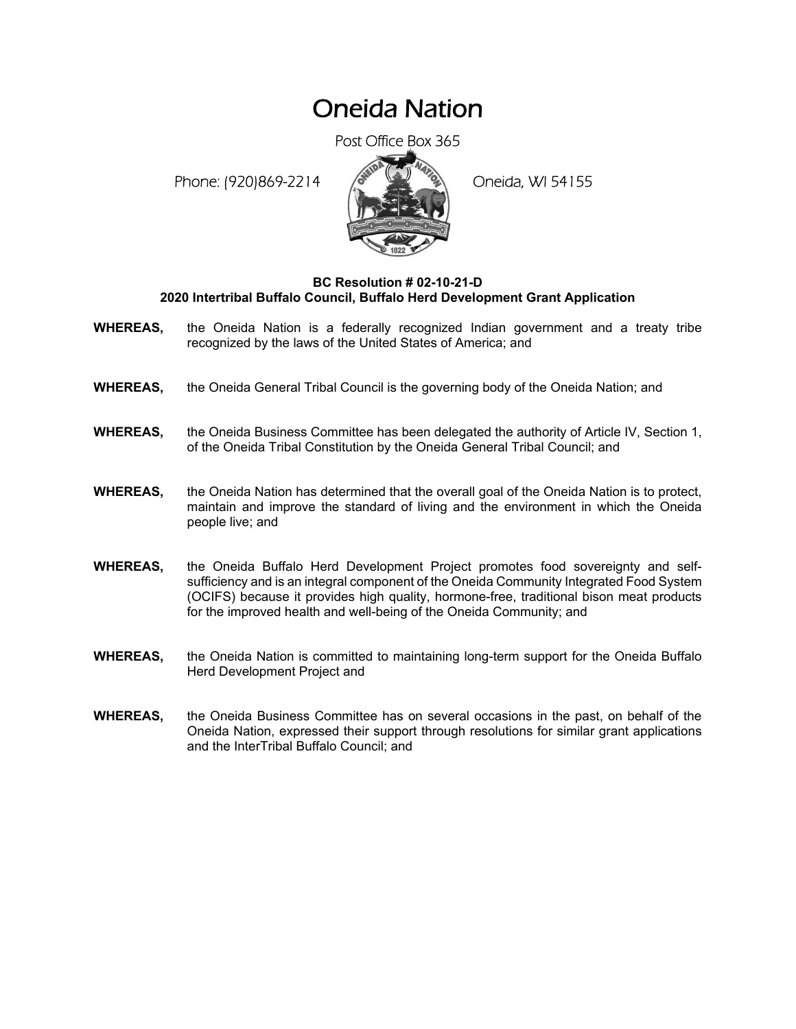## Oneida Nation

Post Office Box 365

Phone: (920)869-2214 (8 April 2) Oneida, WI 54155



## **BC Resolution # 02-10-21-D 2020 Intertribal Buffalo Council, Buffalo Herd Development Grant Application**

- **WHEREAS,** the Oneida Nation is a federally recognized Indian government and a treaty tribe recognized by the laws of the United States of America; and
- **WHEREAS,** the Oneida General Tribal Council is the governing body of the Oneida Nation; and
- **WHEREAS,** the Oneida Business Committee has been delegated the authority of Article IV, Section 1, of the Oneida Tribal Constitution by the Oneida General Tribal Council; and
- **WHEREAS,** the Oneida Nation has determined that the overall goal of the Oneida Nation is to protect, maintain and improve the standard of living and the environment in which the Oneida people live; and
- **WHEREAS,** the Oneida Buffalo Herd Development Project promotes food sovereignty and selfsufficiency and is an integral component of the Oneida Community Integrated Food System (OCIFS) because it provides high quality, hormone-free, traditional bison meat products for the improved health and well-being of the Oneida Community; and
- **WHEREAS,** the Oneida Nation is committed to maintaining long-term support for the Oneida Buffalo Herd Development Project and
- **WHEREAS,** the Oneida Business Committee has on several occasions in the past, on behalf of the Oneida Nation, expressed their support through resolutions for similar grant applications and the InterTribal Buffalo Council; and